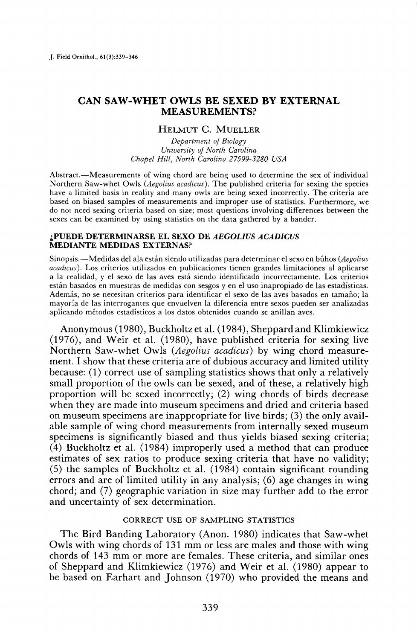## **CAN SAW-WHET OWLS BE SEXED BY EXTERNAL MEASUREMENTS?**

### **HELMUT C. MUELLER**

**Department of Biology University of North Carolina Chapel Hill, North Carolina 27599-3280 USA** 

Abstract.—Measurements of wing chord are being used to determine the sex of individual **Northern Saw-whet Owls (Aegolius acadicus). The published criteria for sexing the species have a limited basis in reality and many owls are being sexed incorrectly. The criteria are based on biased samples of measurements and improper use of statistics. Furthermore, we do not need sexing criteria based on size; most questions involving differences between the sexes can be examined by using statistics on the data gathered by a bander.** 

### **gPUEDE DETERMINARSE EL SEXO DE AEGOLIUS ACADICUS MEDIANTE MEDIDAS EXTERNAS?**

Sinopsis.--Medidas del ala están siendo utilizadas para determinar el sexo en búhos (Aegolius **acadicus). Los criterios utilizados en publicaciones tienen grandes limitaciones al aplicarse**  a la realidad, y el sexo de las aves está siendo identificado incorrectamente. Los criterios están basados en muestras de medidas con sesgos y en el uso inapropiado de las estadísticas. Además, no se necesitan criterios para identificar el sexo de las aves basados en tamaño; la **mayoria de las interrogantes que envuelven la diferencia entre sexos pueden ser analizadas aplicando m6todos estadisticos alos datos obtenidos cuando se anillan aves.** 

**Anonymous (1980), Buckholtz et al. (1984), Sheppard and Klimkiewicz (1976), and Weir et al. (1980), have published criteria for sexing live Northern Saw-whet Owls (Aegolius acadicus) by wing chord measurement. I show that these criteria are of dubious accuracy and limited utility because: (1) correct use of sampling statistics shows that only a relatively small proportion of the owls can be sexed, and of these, a relatively high proportion will be sexed incorrectly; (2) wing chords of birds decrease when they are made into museum specimens and dried and criteria based on museum specimens are inappropriate for live birds; (3) the only available sample of wing chord measurements from internally sexed museum specimens is significantly biased and thus yields biased sexing criteria; (4) Buckholtz et al. (1984) improperly used a method that can produce estimates of sex ratios to produce sexing criteria that have no validity; (5) the samples of Buckholtz et al. (1984) contain significant rounding errors and are of limited utility in any analysis; (6) age changes in wing chord; and (7) geographic variation in size may further add to the error and uncertainty of sex determination.** 

## **CORRECT USE OF SAMPLING STATISTICS**

**The Bird Banding Laboratory (Anon. 1980) indicates that Saw-whet Owls with wing chords of 131 mm or less are males and those with wing chords of 143 mm or more are females. These criteria, and similar ones of Sheppard and Klimkiewicz (1976) and Weir et al. (1980) appear to be based on Earhart and Johnson (1970) who provided the means and**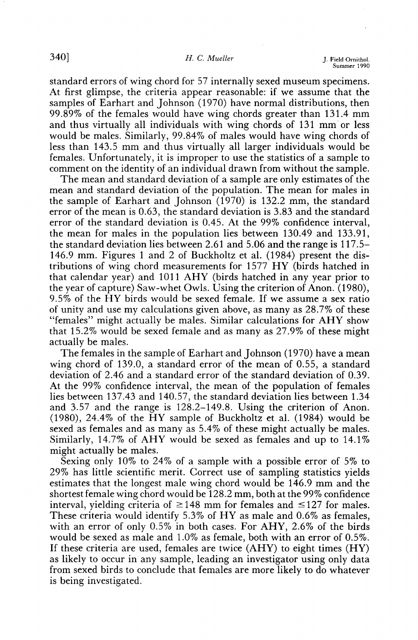**standard errors of wing chord for 57 internally sexed museum specimens. At first glimpse, the criteria appear reasonable: if we assume that the samples of Earhart and Johnson (1970) have normal distributions, then 99.89% of the females would have wing chords greater than 131.4 mm and thus virtually all individuals with wing chords of 131 mm or less would be males. Similarly, 99.84% of males would have wing chords of less than 143.5 mm and thus virtually all larger individuals would be females. Unfortunately, it is improper to use the statistics of a sample to comment on the identity of an individual drawn from without the sample.** 

**The mean and standard deviation of a sample are only estimates of the mean and standard deviation of the population. The mean for males in the sample of Earhart and Johnson (1970) is 132.2 mm, the standard error of the mean is 0.63, the standard deviation is 3.83 and the standard error of the standard deviation is 0.45. At the 99% confidence interval, the mean for males in the population lies between 130.49 and 133.91, the standard deviation lies between 2.61 and 5.06 and the range is 117.5- 146.9 mm. Figures I and 2 of Buckholtz et al. (1984) present the distributions of wing chord measurements for 1577 HY (birds hatched in that calendar year) and 1011 AHY (birds hatched in any year prior to the year of capture) Saw-whet Owls. Using the criterion of Anon. (1980), 9.5% of the HY birds would be sexed female. If we assume a sex ratio of unity and use my calculations given above, as many as 28.7% of these "females" might actually be males. Similar calculations for AHY show that 15.2% would be sexed female and as many as 27.9% of these might actually be males.** 

**The females in the sample of Earhart and Johnson (1970) have a mean wing chord of 139.0, a standard error of the mean of 0.55, a standard deviation of 2.46 and a standard error of the standard deviation of 0.39. At the 99% confidence interval, the mean of the population of females lies between 137.43 and 140.57, the standard deviation lies between 1.34 and 3.57 and the range is 128.2-149.8. Using the criterion of Anon. (1980), 24.4% of the HY sample of Buckholtz et al. (1984) would be sexed as females and as many as 5.4% of these might actually be males. Similarly, 14.7% of AHY would be sexed as females and up to 14.1% might actually be males.** 

**Sexing only 10% to 24% of a sample with a possible error of 5% to 29% has little scientific merit. Correct use of sampling statistics yields estimates that the longest male wing chord would be 146.9 mm and the shortest female wing chord would be 128.2 mm, both at the 99% confidence**  interval, yielding criteria of  $\geq$ 148 mm for females and  $\leq$ 127 for males. **These criteria would identify 5.3% of HY as male and 0.6% as females, with an error of only 0.5% in both cases. For AHY, 2.6% of the birds would be sexed as male and 1.0% as female, both with an error of 0.5%. If these criteria are used, females are twice (AHY) to eight times (HY) as likely to occur in any sample, leading an investigator using only data from sexed birds to conclude that females are more likely to do whatever is being investigated.**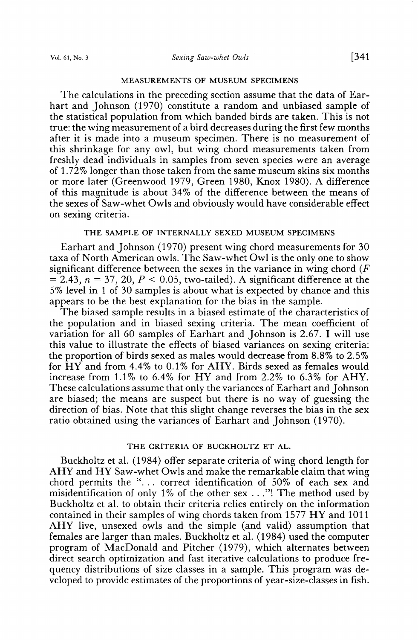### **MEASUREMENTS OF MUSEUM SPECIMENS**

**The calculations in the preceding section assume that the data of Earhart and Johnson (1970) constitute a random and unbiased sample of the statistical population from which banded birds are taken. This is not true: the wing measurement of a bird decreases during the first few months after it is made into a museum specimen. There is no measurement of this shrinkage for any owl, but wing chord measurements taken from freshly dead individuals in samples from seven species were an average of 1.72% longer than those taken from the same museum skins six months or more later (Greenwood 1979, Green 1980, Knox 1980). A difference**  of this magnitude is about 34% of the difference between the means of **the sexes of Saw-whet Owls and obviously would have considerable effect on sexing criteria.** 

### **THE SAMPLE OF INTERNALLY SEXED MUSEUM SPECIMENS**

**Earhart and Johnson (1970) present wing chord measurements for 30 taxa of North American owls. The Saw-whet Owl is the only one to show significant difference between the sexes in the variance in wing chord (F**   $= 2.43$ ,  $n = 37, 20, P < 0.05$ , two-tailed). A significant difference at the **5% level in 1 of 30 samples is about what is expected by chance and this appears to be the best explanation for the bias in the sample.** 

**The biased sample results in a biased estimate of the characteristics of the population and in biased sexing criteria. The mean coefficient of variation for all 60 samples of Earhart and Johnson is 2.67. I will use this value to illustrate the effects of biased variances on sexing criteria: the proportion of birds sexed as males would decrease from 8.8% to 2.5% for HY and from 4.4% to 0.1% for AHY. Birds sexed as females would increase from 1.1% to 6.4% for HY and from 2.2% to 6.3% for AHY. These calculations assume that only the variances of Earhart and Johnson are biased; the means are suspect but there is no way of guessing the direction of bias. Note that this slight change reverses the bias in the sex ratio obtained using the variances of Earhart and Johnson (1970).** 

#### **THE CRITERIA OF BUCKHOLTZ ET AL.**

**Buckholtz et al. (1984) offer separate criteria of wing chord length for AHY and HY Saw-whet Owls and make the remarkable claim that wing chord permits the "... correct identification of 50% of each sex and misidentification of only 1% of the other sex..."! The method used by Buckholtz et al. to obtain their criteria relies entirely on the information contained in their samples of wing chords taken from 1577 HY and 1011 AHY live, unsexed owls and the simple (and valid) assumption that females are larger than males. Buckholtz et al. (1984) used the computer program of MacDonald and Pitcher (1979), which alternates between direct search optimization and fast iterative calculations to produce frequency distributions of size classes in a sample. This program was developed to provide estimates of the proportions of year-size-classes infish.**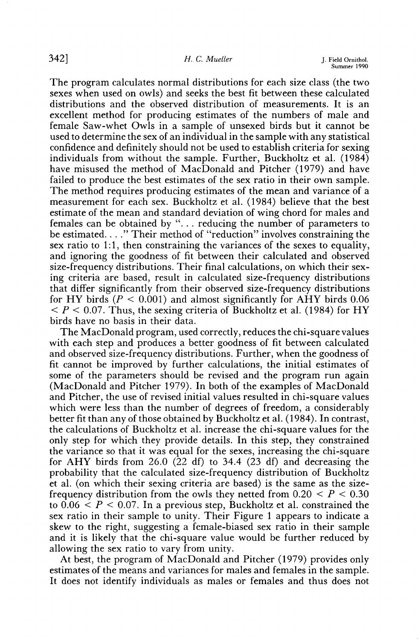**The program calculates normal distributions for each size class (the two sexes when used on owls) and seeks the best fit between these calculated distributions and the observed distribution of measurements. It is an excellent method for producing estimates of the numbers of male and female Saw-whet Owls in a sample of unsexed birds but it cannot be used to determine the sex of an individual in the sample with any statistical confidence and definitely should not be used to establish criteria for sexing individuals from without the sample. Further, Buckholtz et al. (1984) have misused the method of MacDonald and Pitcher (1979) and have failed to produce the best estimates of the sex ratio in their own sample. The method requires producing estimates of the mean and variance of a measurement for each sex. Buckholtz et al. (1984) believe that the best estimate of the mean and standard deviation of wing chord for males and females can be obtained by "... reducing the number of parameters to be estimated .... "Their method of "reduction" involves constraining the sex ratio to 1:1, then constraining the variances of the sexes to equality, and ignoring the goodness of fit between their calculated and observed size-frequency distributions. Their final calculations, on which their sexing criteria are based, result in calculated size-frequency distributions that differ significantly from their observed size-frequency distributions for HY birds (P < 0.001) and almost significantly for AHY birds 0.06**   $P < 0.07$ . Thus, the sexing criteria of Buckholtz et al. (1984) for HY **birds have no basis in their data.** 

**The MacDonald program, used correctly, reduces the chi-square values with each step and produces a better goodness of fit between calculated and observed size-frequency distributions. Further, when the goodness of fit cannot be improved by further calculations, the initial estimates of some of the parameters should be revised and the program run again (MacDonald and Pitcher 1979). In both of the examples of MacDonald and Pitcher, the use of revised initial values resulted in chi-square values which were less than the number of degrees of freedom, a considerably better fit than any of those obtained by Buckholtz et al. (1984). In contrast, the calculations of Buckholtz et al. increase the chi-square values for the only step for which they provide details. In this step, they constrained the variance so that it was equal for the sexes, increasing the chi-square for AHY birds from 26.0 (22 dr) to 34.4 (23 dr) and decreasing the probability that the calculated size-frequency distribution of Buckholtz et al. (on which their sexing criteria are based) is the same as the size**frequency distribution from the owls they netted from  $0.20 < P < 0.30$ **to 0.06 < P < 0.07. In a previous step, Buckholtz et al. constrained the sex ratio in their sample to unity. Their Figure 1 appears to indicate a skew to the right, suggesting a female-biased sex ratio in their sample and it is likely that the chi-square value would be further reduced by allowing the sex ratio to vary from unity.** 

**At best, the program of MacDonald and Pitcher (1979) provides only estimates of the means and variances for males and females in the sample. It does not identify individuals as males or females and thus does not**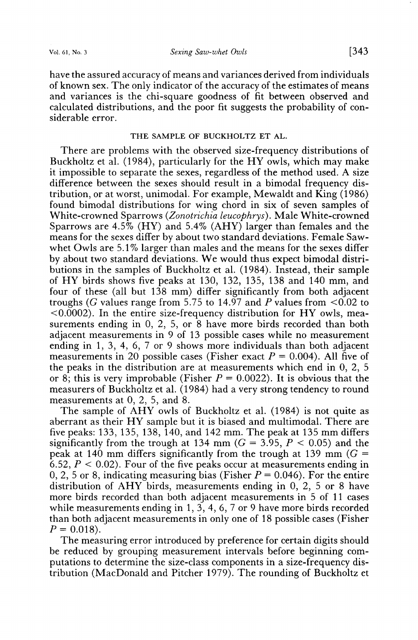**have the assured accuracy of means and variances derived from individuals of known sex. The only indicator of the accuracy of the estimates of means and variances is the chi-square goodness of fit between observed and calculated distributions, and the poor fit suggests the probability of considerable error.** 

## **THE SAMPLE OF BUCKHOLTZ ET AL.**

**There are problems with the observed size-frequency distributions of Buckholtz et al. (1984), particularly for the HY owls, which may make it impossible to separate the sexes, regardless of the method used. A size difference between the sexes should result in a bimodal frequency distribution, or at worst, unimodal. For example, Mewaldt and King (1986) found bimodal distributions for wing chord in six of seven samples of White-crowned Sparrows (Zonotrichia leucophrys). Male White-crowned Sparrows are 4.5% (HY) and 5.4% (AHY) larger than females and the means for the sexes differ by about two standard deviations. Female Sawwhet Owls are 5.1% larger than males and the means for the sexes differ by about two standard deviations. We would thus expect bimodal distributions in the samples of Buckholtz et al. (1984). Instead, their sample of HY birds shows five peaks at 130, 132, 135, 138 and 140 mm, and four of these (all but 138 mm) differ significantly from both adjacent**  troughs (G values range from 5.75 to 14.97 and P values from  $\leq 0.02$  to **<0.0002). In the entire size-frequency distribution for HY owls, measurements ending in 0, 2, 5, or 8 have more birds recorded than both adjacent measurements in 9 of 13 possible cases while no measurement ending in 1, 3, 4, 6, 7 or 9 shows more individuals than both adjacent**  measurements in 20 possible cases (Fisher exact  $P = 0.004$ ). All five of **the peaks in the distribution are at measurements which end in 0, 2, 5**  or 8; this is very improbable (Fisher  $P = 0.0022$ ). It is obvious that the **measurers of Buckholtz et al. (1984) had a very strong tendency to round measurements at 0, 2, 5, and 8.** 

**The sample of AHY owls of Buckholtz et al. (1984) is not quite as aberrant as their HY sample but it is biased and multimodal. There are five peaks: 133, 135,138, 140, and 142 mm. The peak at 135 mm differs**  significantly from the trough at 134 mm ( $G = 3.95, P < 0.05$ ) and the **peak at 140 mm differs significantly from the trough at 139 mm (G = 6.52, P < 0.02). Four of the five peaks occur at measurements ending in**  0, 2, 5 or 8, indicating measuring bias (Fisher  $P = 0.046$ ). For the entire **distribution of AHY birds, measurements ending in 0, 2, 5 or 8 have more birds recorded than both adjacent measurements in 5 of 11 cases while measurements ending in 1, 3, 4, 6, 7 or 9 have more birds recorded than both adjacent measurements in only one of 18 possible cases (Fisher**   $P = 0.018$ .

**The measuring error introduced by preference for certain digits should be reduced by grouping measurement intervals before beginning computations to determine the size-class components in a size-frequency distribution (MacDonald and Pitcher 1979). The rounding of Buckholtz et**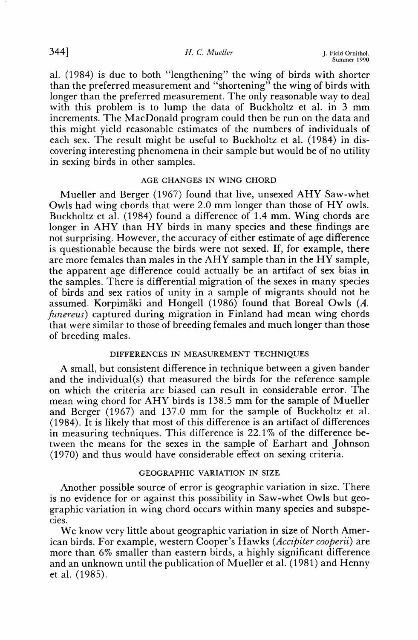**al. (1984) is due to both "lengthening" the wing of birds with shorter than the preferred measurement and "shortening" the wing of birds with longer than the preferred measurement. The only reasonable way to deal with this problem is to lump the data of Buckholtz et al. in 3 mm increments. The MacDonald program could then be run on the data and this might yield reasonable estimates of the numbers of individuals of each sex. The result might be useful to Buckholtz et al. (1984) in discovering interesting phenomena in their sample but would be of no utility in sexing birds in other samples.** 

### **AGE CHANGES IN WING CHORD**

**Mueller and Berger (1967) found that live, unsexed AHY Saw-whet Owls had wing chords that were 2.0 mm longer than those of HY owls. Buckholtz et al. (1984) found a difference of 1.4 mm. Wing chords are longer in AHY than HY birds in many species and these findings are not surprising. However, the accuracy of either estimate of age difference is questionable because the birds were not sexed. If, for example, there are more females than males in the AHY sample than in the HY sample, the apparent age difference could actually be an artifact of sex bias in the samples. There is differential migration of the sexes in many species of birds and sex ratios of unity in a sample of migrants should not be**  assumed. Korpimäki and Hongell (1986) found that Boreal Owls (A. **funereus) captured during migration in Finland had mean wing chords that were similar to those of breeding females and much longer than those of breeding males.** 

# **DIFFERENCES IN MEASUREMENT TECHNIQUES**

**A small, but consistent difference in technique between a given bander and the individual(s) that measured the birds for the reference sample on which the criteria are biased can result in considerable error. The mean wing chord for AHY birds is 138.5 mm for the sample of Mueller and Berger (1967) and 137.0 mm for the sample of Buckholtz et al. (1984). It is likely that most of this difference is an artifact of differences in measuring techniques. This difference is 22.1% of the difference between the means for the sexes in the sample of Earhart and Johnson (1970) and thus would have considerable effect on sexing criteria.** 

### **GEOGRAPHIC VARIATION IN SIZE**

**Another possible source of error is geographic variation in size. There is no evidence for or against this possibility in Saw-whet Owls but geographic variation in wing chord occurs within many species and subspecies.** 

**We know very little about geographic variation in size of North American birds. For example, western Cooper's Hawks (Accipiter cooperii) are more than 6% smaller than eastern birds, a highly significant difference and an unknown until the publication of Mueller et al. (1981) and Henny et al. (1985).**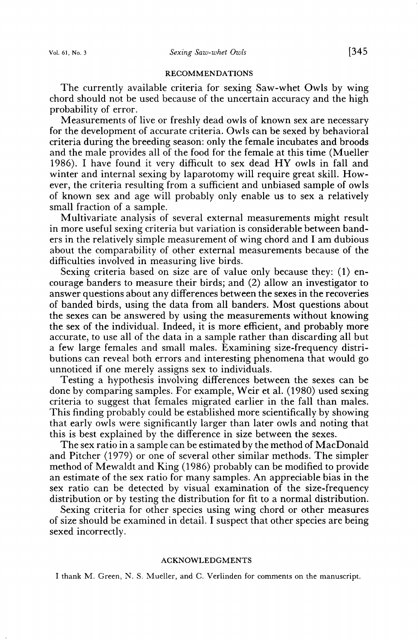#### **RECOMMENDATIONS**

**The currently available criteria for sexing Saw-whet Owls by wing chord should not be used because of the uncertain accuracy and the high probability of error.** 

**Measurements of live or freshly dead owls of known sex are necessary for the development of accurate criteria. Owls can be sexed by behavioral criteria during the breeding season: only the female incubates and broods and the male provides all of the food for the female at this time (Mueller 1986). I have found it very difficult to sex dead HY owls in fall and winter and internal sexing by laparotomy will require great skill. However, the criteria resulting from a sufficient and unbiased sample of owls of known sex and age will probably only enable us to sex a relatively small fraction of a sample.** 

**Multivariate analysis of several external measurements might result in more useful sexing criteria but variation is considerable between banders in the relatively simple measurement of wing chord and I am dubious about the comparability of other external measurements because of the difficulties involved in measuring live birds.** 

**Sexing criteria based on size are of value only because they: (1) encourage banders to measure their birds; and (2) allow an investigator to answer questions about any differences between the sexes in the recoveries of banded birds, using the data from all banders. Most questions about the sexes can be answered by using the measurements without knowing the sex of the individual. Indeed, it is more efficient, and probably more accurate, to use all of the data in a sample rather than discarding all but a few large females and small males. Examining size-frequency distributions can reveal both errors and interesting phenomena that would go unnoticed if one merely assigns sex to individuals.** 

**Testing a hypothesis involving differences between the sexes can be done by comparing samples. For example, Weir et al. (1980) used sexing**  criteria to suggest that females migrated earlier in the fall than males. **This finding probably could be established more scientifically by showing that early owls were significantly larger than later owls and noting that this is best explained by the difference in size between the sexes.** 

**The sex ratio in a sample can be estimated by the method of MacDonald and Pitcher (1979) or one of several other similar methods. The simpler method of Mewaldt and King (1986) probably can be modified to provide an estimate of the sex ratio for many samples. An appreciable bias in the sex ratio can be detected by visual examination of the size-frequency distribution or by testing the distribution for fit to a normal distribution.** 

**Sexing criteria for other species using wing chord or other measures of size should be examined in detail. I suspect that other species are being sexed incorrectly.** 

### **ACKNOWLEDGMENTS**

**I thank M. Green, N. S. Mueller, and C. Verlinden for comments on the manuscript.**